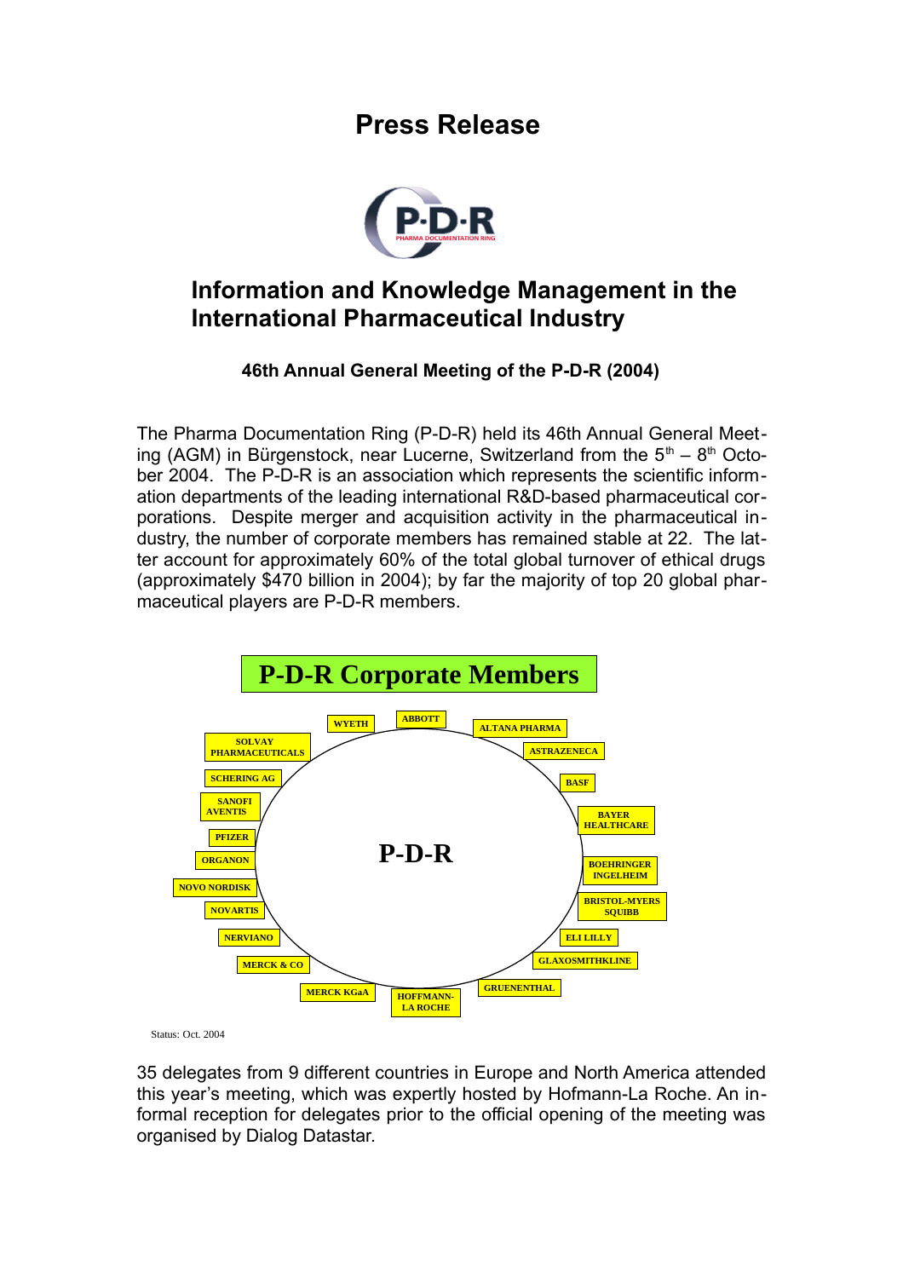## **Press Release**



## **Information and Knowledge Management in the International Pharmaceutical Industry**

## **46th Annual General Meeting of the P-D-R (2004)**

The Pharma Documentation Ring (P-D-R) held its 46th Annual General Meeting (AGM) in Bürgenstock, near Lucerne, Switzerland from the  $5<sup>th</sup> - 8<sup>th</sup>$  October 2004. The P-D-R is an association which represents the scientific information departments of the leading international R&D-based pharmaceutical corporations. Despite merger and acquisition activity in the pharmaceutical industry, the number of corporate members has remained stable at 22. The latter account for approximately 60% of the total global turnover of ethical drugs (approximately \$470 billion in 2004); by far the majority of top 20 global pharmaceutical players are P-D-R members.



Status: Oct. 2004

35 delegates from 9 different countries in Europe and North America attended this year's meeting, which was expertly hosted by Hofmann-La Roche. An informal reception for delegates prior to the official opening of the meeting was organised by Dialog Datastar.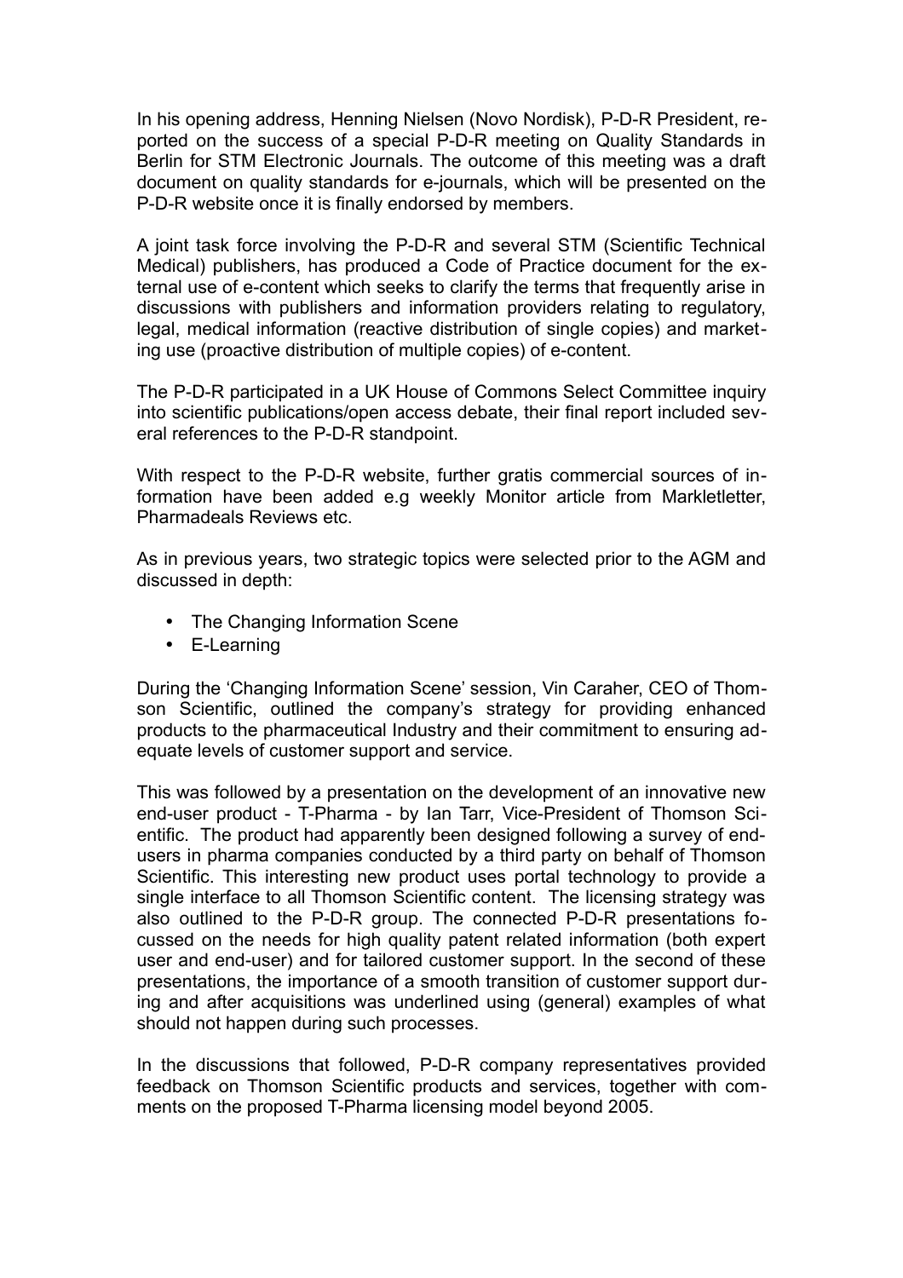In his opening address, Henning Nielsen (Novo Nordisk), P-D-R President, reported on the success of a special P-D-R meeting on Quality Standards in Berlin for STM Electronic Journals. The outcome of this meeting was a draft document on quality standards for e-journals, which will be presented on the P-D-R website once it is finally endorsed by members.

A joint task force involving the P-D-R and several STM (Scientific Technical Medical) publishers, has produced a Code of Practice document for the external use of e-content which seeks to clarify the terms that frequently arise in discussions with publishers and information providers relating to regulatory, legal, medical information (reactive distribution of single copies) and marketing use (proactive distribution of multiple copies) of e-content.

The P-D-R participated in a UK House of Commons Select Committee inquiry into scientific publications/open access debate, their final report included several references to the P-D-R standpoint.

With respect to the P-D-R website, further gratis commercial sources of information have been added e.g weekly Monitor article from Markletletter, Pharmadeals Reviews etc.

As in previous years, two strategic topics were selected prior to the AGM and discussed in depth:

- The Changing Information Scene
- E-Learning

During the 'Changing Information Scene' session, Vin Caraher, CEO of Thomson Scientific, outlined the company's strategy for providing enhanced products to the pharmaceutical Industry and their commitment to ensuring adequate levels of customer support and service.

This was followed by a presentation on the development of an innovative new end-user product - T-Pharma - by Ian Tarr, Vice-President of Thomson Scientific. The product had apparently been designed following a survey of endusers in pharma companies conducted by a third party on behalf of Thomson Scientific. This interesting new product uses portal technology to provide a single interface to all Thomson Scientific content. The licensing strategy was also outlined to the P-D-R group. The connected P-D-R presentations focussed on the needs for high quality patent related information (both expert user and end-user) and for tailored customer support. In the second of these presentations, the importance of a smooth transition of customer support during and after acquisitions was underlined using (general) examples of what should not happen during such processes.

In the discussions that followed, P-D-R company representatives provided feedback on Thomson Scientific products and services, together with comments on the proposed T-Pharma licensing model beyond 2005.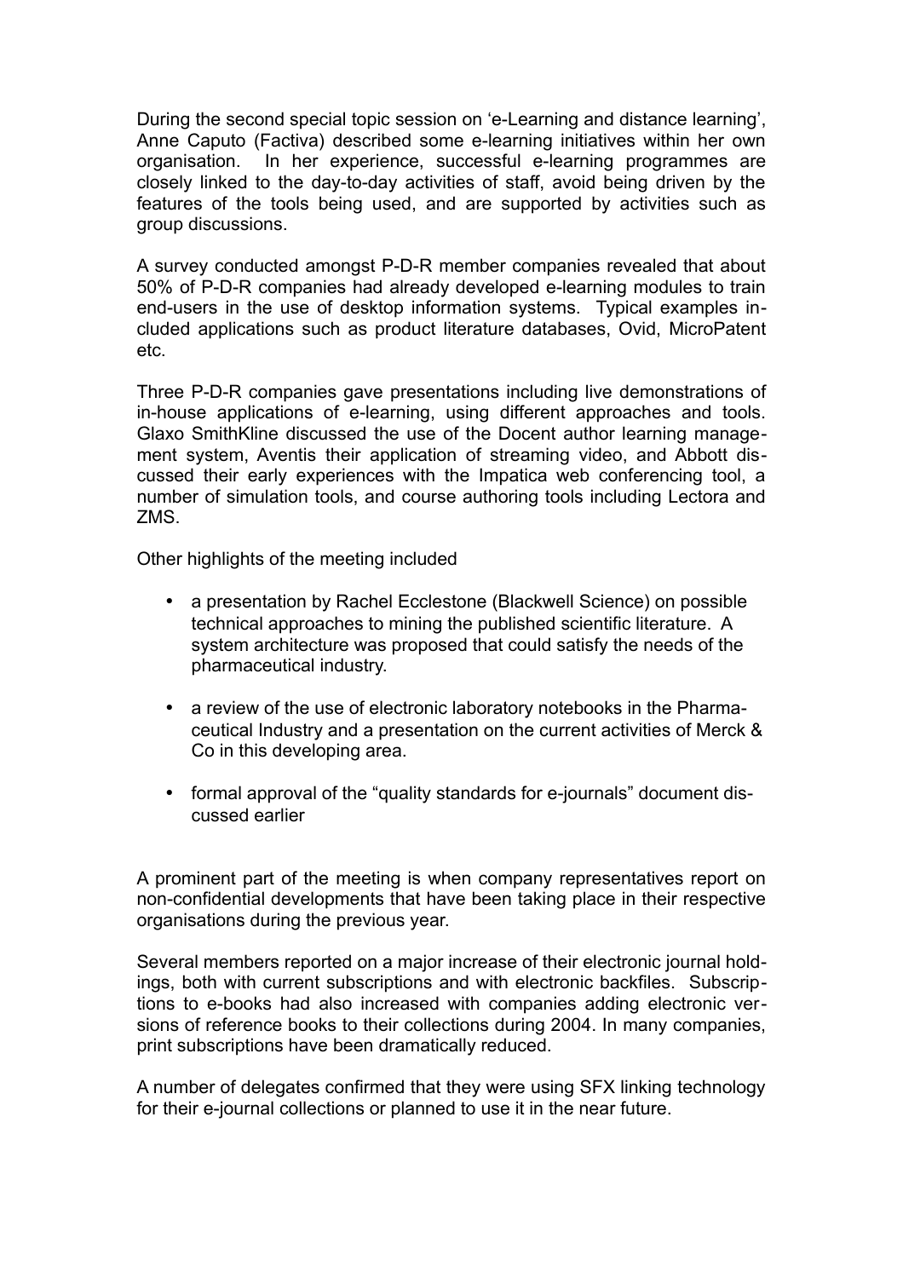During the second special topic session on 'e-Learning and distance learning', Anne Caputo (Factiva) described some e-learning initiatives within her own organisation. In her experience, successful e-learning programmes are closely linked to the day-to-day activities of staff, avoid being driven by the features of the tools being used, and are supported by activities such as group discussions.

A survey conducted amongst P-D-R member companies revealed that about 50% of P-D-R companies had already developed e-learning modules to train end-users in the use of desktop information systems. Typical examples included applications such as product literature databases, Ovid, MicroPatent etc.

Three P-D-R companies gave presentations including live demonstrations of in-house applications of e-learning, using different approaches and tools. Glaxo SmithKline discussed the use of the Docent author learning management system, Aventis their application of streaming video, and Abbott discussed their early experiences with the Impatica web conferencing tool, a number of simulation tools, and course authoring tools including Lectora and ZMS.

Other highlights of the meeting included

- a presentation by Rachel Ecclestone (Blackwell Science) on possible technical approaches to mining the published scientific literature. A system architecture was proposed that could satisfy the needs of the pharmaceutical industry.
- a review of the use of electronic laboratory notebooks in the Pharmaceutical Industry and a presentation on the current activities of Merck & Co in this developing area.
- formal approval of the "quality standards for e-journals" document discussed earlier

A prominent part of the meeting is when company representatives report on non-confidential developments that have been taking place in their respective organisations during the previous year.

Several members reported on a major increase of their electronic journal holdings, both with current subscriptions and with electronic backfiles. Subscriptions to e-books had also increased with companies adding electronic versions of reference books to their collections during 2004. In many companies, print subscriptions have been dramatically reduced.

A number of delegates confirmed that they were using SFX linking technology for their e-journal collections or planned to use it in the near future.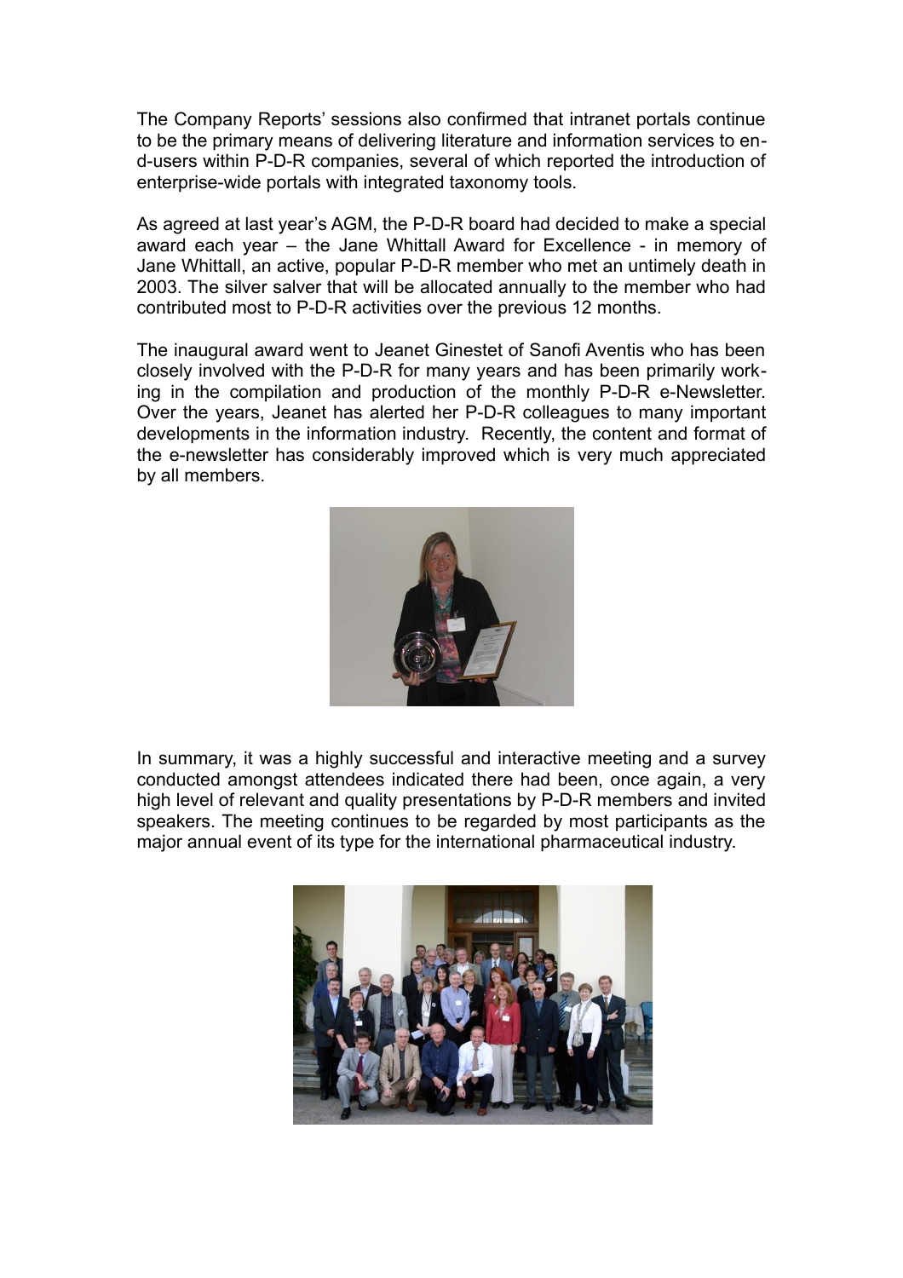The Company Reports' sessions also confirmed that intranet portals continue to be the primary means of delivering literature and information services to end-users within P-D-R companies, several of which reported the introduction of enterprise-wide portals with integrated taxonomy tools.

As agreed at last year's AGM, the P-D-R board had decided to make a special award each year – the Jane Whittall Award for Excellence - in memory of Jane Whittall, an active, popular P-D-R member who met an untimely death in 2003. The silver salver that will be allocated annually to the member who had contributed most to P-D-R activities over the previous 12 months.

The inaugural award went to Jeanet Ginestet of Sanofi Aventis who has been closely involved with the P-D-R for many years and has been primarily working in the compilation and production of the monthly P-D-R e-Newsletter. Over the years, Jeanet has alerted her P-D-R colleagues to many important developments in the information industry. Recently, the content and format of the e-newsletter has considerably improved which is very much appreciated by all members.



In summary, it was a highly successful and interactive meeting and a survey conducted amongst attendees indicated there had been, once again, a very high level of relevant and quality presentations by P-D-R members and invited speakers. The meeting continues to be regarded by most participants as the major annual event of its type for the international pharmaceutical industry.